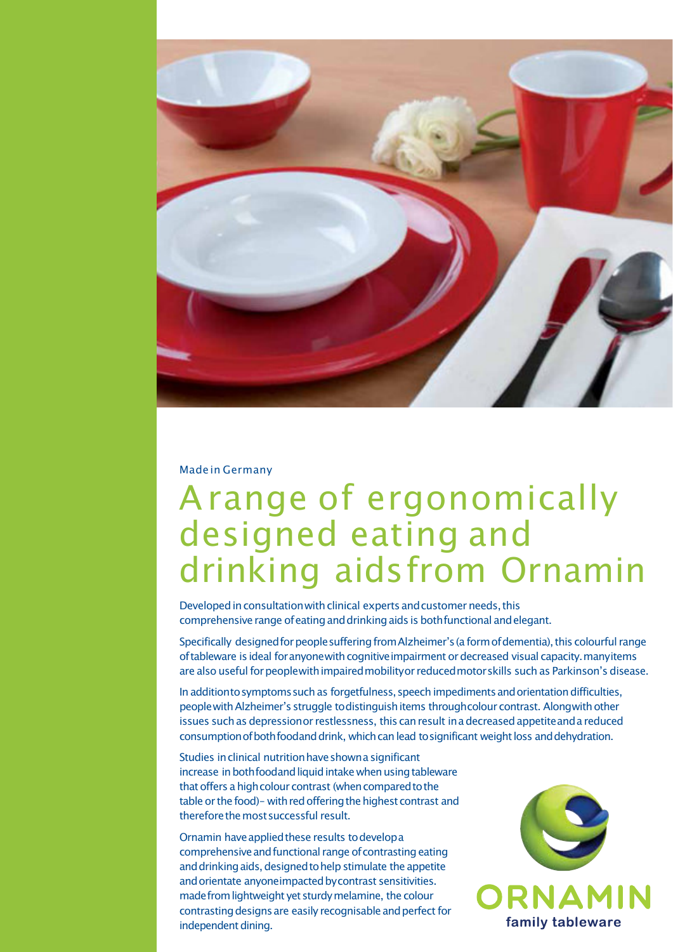

#### Madein Germany

# Arange of ergonomically designed eating and drinking aidsfrom Ornamin

Developed in consultation with clinical experts and customer needs, this comprehensive range of eating and drinking aids is both functional and elegant.

Specifically designed for people suffering from Alzheimer's (a form of dementia), this colourful range of tableware is ideal for anyonewith cognitive impairment or decreased visual capacity. manyitems are also useful for peoplewith impaired mobilityor reduced motor skills such as Parkinson's disease.

In additionto symptoms such as forgetfulness, speech impediments and orientation difficulties, people with Alzheimer's struggle to distinguish items through colour contrast. Along with other issues such as depressionor restlessness, this can result in a decreased appetite and a reduced consumption of both foodand drink, which can lead to significant weight loss and dehydration.

Studies in clinical nutrition have shown a significant increase in both foodand liquid intake when using tableware that offers a high colour contrast (when compared to the table or the food)– with red offering the highest contrast and thereforethemostsuccessful result.

Ornamin have applied these results to develop a comprehensive and functional range of contrasting eating and drinking aids, designed to help stimulate the appetite and orientate anyoneimpacted by contrast sensitivities. madefrom lightweight yet sturdy melamine, the colour contrasting designs are easily recognisable and perfect for independent dining.

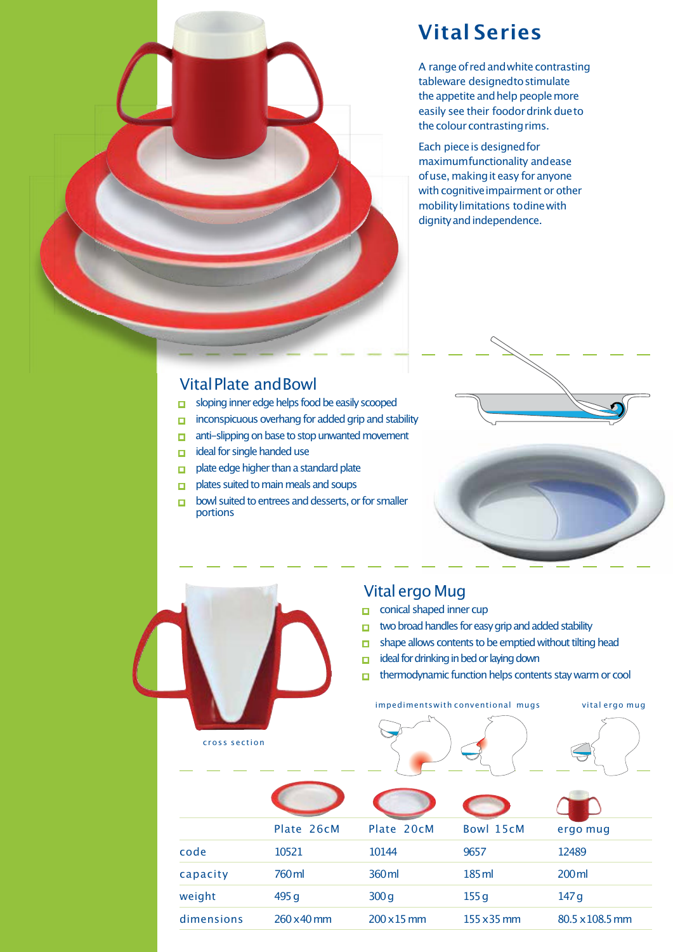

## **Vital Series**

A range of red and white contrasting tableware designedtostimulate the appetite and help people more easily see their foodor drink due to the colour contrasting rims.

Each piece is designed for maximumfunctionality andease of use, making it easy for anyone with cognitive impairment or other mobilitylimitations todinewith dignity and independence.

#### VitalPlate andBowl

- sloping inner edge helps food be easily scooped
- $\Box$  inconspicuous overhang for added grip and stability
- anti-slipping on base to stop unwanted movement
- ■■ ideal for singlehandeduse
- $\Box$  plate edge higher than a standard plate
- plates suited to main meals and soups
- bowl suited to entrees and desserts, or for smaller portions



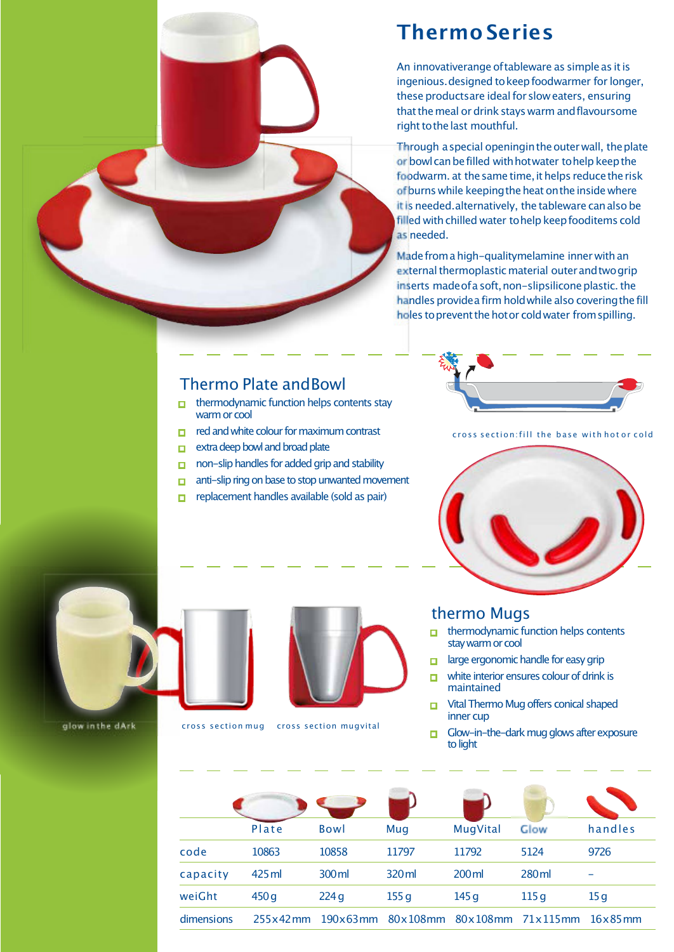

## **Thermo Series**

An innovativerange of tableware as simple as it is ingenious. designed to keep foodwarmer for longer, these productsare ideal for slow eaters, ensuring that the meal or drink stays warm and flavoursome right to the last mouthful.

Through a special openingin the outer wall, the plate or bowl can be filled with hot water to help keep the foodwarm, at the same time, it helps reduce the risk of burns while keeping the heat on the inside where itis needed.alternatively, the tableware canalso be filled with chilled water to help keep fooditems cold as needed.

Made from a high-qualitymelamine inner with an external thermoplastic material outer and two grip inserts made of a soft, non-slipsilicone plastic. the handles provide a firm hold while also covering the fill holes to prevent the hot or cold water from spilling.

#### Thermo Plate andBowl

- ■■ thermodynamic function helps contents stay warm or cool
- red and white colour for maximum contrast
- **Extra deep bowl and broad plate**
- non-slip handles for added grip and stability
- anti-slip ring on base to stop unwanted movement
- ■■ replacement handles available (sold as pair)



cross section: fill the base with hot or cold



#### thermo Mugs

- ■■ thermodynamic function helps contents stay warm or cool
- large ergonomic handle for easy grip
- white interior ensures colour of drink is maintained
- Vital Thermo Mug offers conical shaped inner cup
- ■■ Glow-in-the-darkmugglows after exposure to light

|            | Plate       | <b>Bowl</b>       | Mug              | MugVital            | Glow              | handles |
|------------|-------------|-------------------|------------------|---------------------|-------------------|---------|
| code       | 10863       | 10858             | 11797            | 11792               | 5124              | 9726    |
| capacity   | 425 ml      | 300 ml            | 320 ml           | $200 \,\mathrm{ml}$ | 280 <sub>ml</sub> |         |
| weiGht     | 450q        | 224q              | 155 <sub>g</sub> | 145q                | 115 <sub>q</sub>  | 15g     |
| dimensions | $255x42$ mm | $190\times 63$ mm | 80x108mm         |                     | 80x108mm 71x115mm | 16x85mm |





glow in the dArk cross section mug cross section mugvital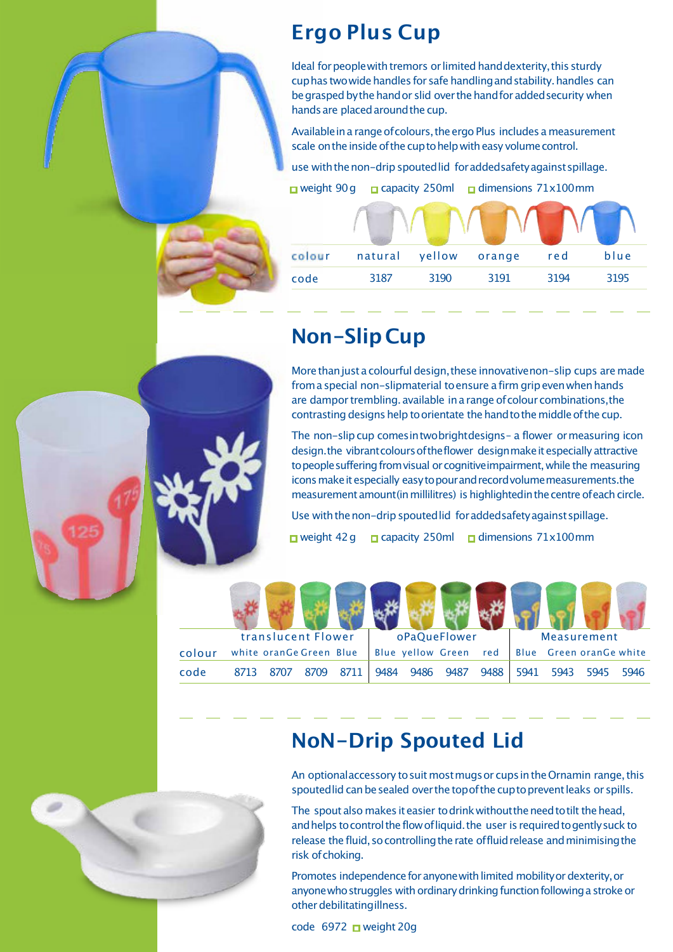## **Ergo Plus Cup**

Ideal for peoplewith tremors or limited hand dexterity, this sturdy cuphas two wide handles for safe handling and stability. handles can be grasped by the hand or slid over the hand for added security when hands are placed around the cup.

Available in a range of colours, the ergo Plus includes a measurement scale on the inside of the cup to help with easy volume control.

use with the non-drip spouted lid for addedsafety against spillage.

■ weight 90g apacity 250ml a dimensions 71x100mm

| colour | natural | yellow | orange | red  | blue |
|--------|---------|--------|--------|------|------|
| code   | 3187    | 3190   | 3191   | 3194 | 3195 |

## **Non-Slip Cup**

More than just a colourful design, these innovative non-slip cups are made from a special non-slipmaterial to ensure a firm grip even when hands are dampor trembling. available in a range of colour combinations, the contrasting designs help to orientate the hand to the middle of the cup.

The non-slipcup comesintwobrightdesigns– a flower ormeasuring icon design.the vibrant colours of the flower design make it especially attractive to people suffering from visual or cognitive impairment, while the measuring icons make it especially easy to pour and record volume measurements.the measurement amount (in millilitres) is highlighted in the centre of each circle.

Use with the non-drip spouted lid for addedsafety against spillage. ■ weight 42g ■ capacity 250ml ■ dimensions 71x100mm

|        | translucent Flower |                         | oPaQueFlower |      |      |      | Measurement           |      |      |                         |      |      |
|--------|--------------------|-------------------------|--------------|------|------|------|-----------------------|------|------|-------------------------|------|------|
| colour |                    | white oranGe Green Blue |              |      |      |      | Blue yellow Green red |      |      | Blue Green oranGe white |      |      |
| code   | 8713               |                         | 8709         | 8711 | 9484 | 9486 | 9487                  | 9488 | 5941 | 5943                    | 5945 | 5946 |

#### **NoN-Drip Spouted Lid**

An optional accessory to suit most mugs or cups in the Ornamin range, this spouted lid can be sealed over the top of the cup to prevent leaks or spills.

The spout also makes it easier to drink without the need to tilt the head, and helps to control the flow of liquid, the user is required to gently suck to release the fluid, so controlling the rate offluid release and minimising the risk of choking.

Promotes independence for anyone with limited mobility or dexterity, or anyone who struggles with ordinary drinking function following a stroke or otherdebilitatingillness.

code 6972 ■ weight 20g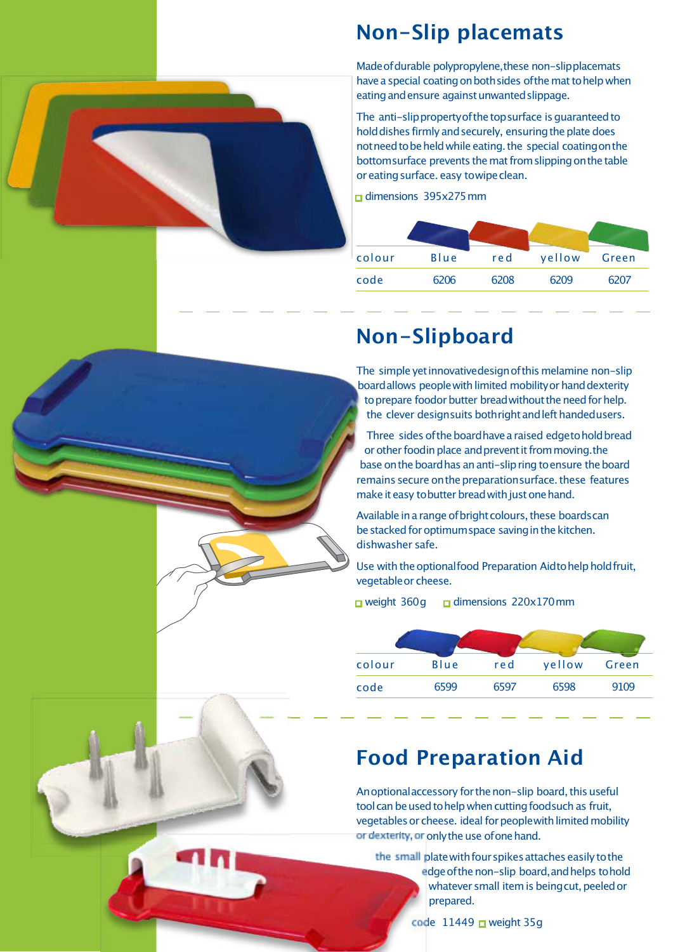

Made of durable polypropylene, these non-slipplacemats have a special coating on both sides of the mat to help when eating and ensure against unwanted slippage.

The anti-slipproperty of the top surface is quaranteed to hold dishes firmly and securely, ensuring the plate does not need to be held while eating. the special coating on the bottomsurface prevents the mat from slipping on the table or eating surface. easy towipe clean.

 $\overline{\phantom{0}}$  dimensions 395x275 mm

| colour | Blue | red  | yellow | Green |
|--------|------|------|--------|-------|
| code   | 6206 | 6208 | 6209   | 6207  |
|        |      |      |        |       |

## **Non-Slipboard**

The simple yet innovativedesign of this melamine non-slip board allows people with limited mobility or hand dexterity to prepare foodor butter bread without the need for help. the clever designsuits bothright and left handedusers.

Three sides of the board have a raised edgetohold bread or other foodin place and prevent it from moving. the base on the board has an anti-slip ring to ensure the board remains secure on the preparation surface. these features make it easy to butter bread with just one hand.

Available in a range of bright colours, these boards can be stacked for optimum space saving in the kitchen. dishwasher safe.

Use with the optional food Preparation Aidtohelphold fruit, vegetableor cheese.

■ weight 360g ■ dimensions 220x170mm

| colour | Blue | red  | yellow | Green |
|--------|------|------|--------|-------|
| code   | 6599 | 6597 | 6598   | 9109  |

## **Food Preparation Aid**

An optional accessory for the non-slip board, this useful tool can be used to help when cutting foodsuch as fruit, vegetables or cheese. ideal for peoplewith limited mobility or dexterity, or only the use of one hand.

the small plate with four spikes attaches easily to the edge of the non-slip board, and helps to hold whatever small item is beingcut, peeled or prepared.

code  $11449$   $\Box$  weight 35g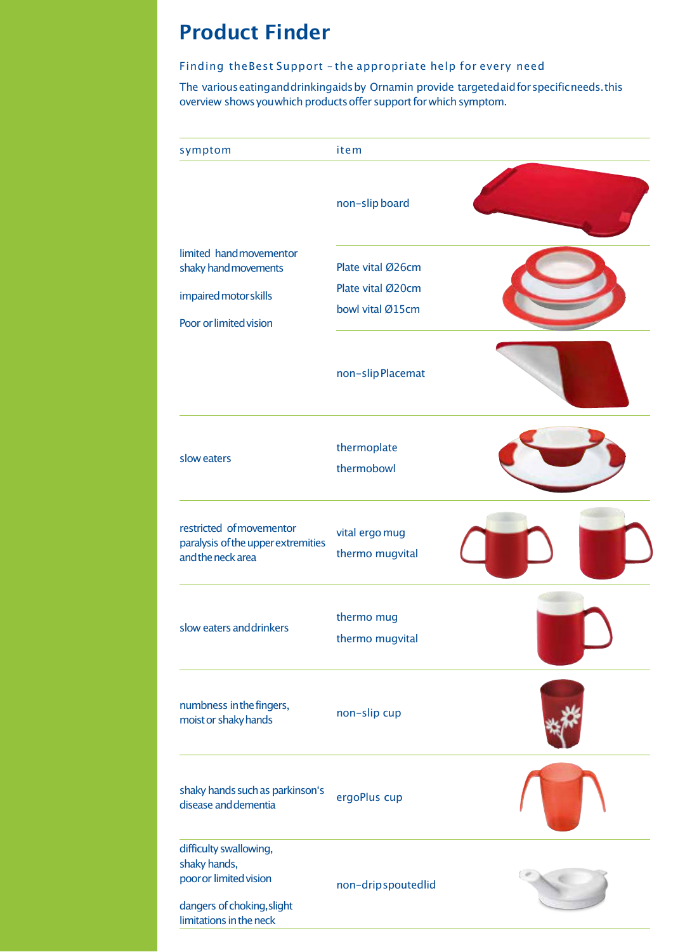#### **Product Finder**

#### Finding theBest Support – the appropriate help for every need

The various eating and drinkingaids by Ornamin provide targeted aid for specific needs. this overview shows you which products offer support for which symptom.